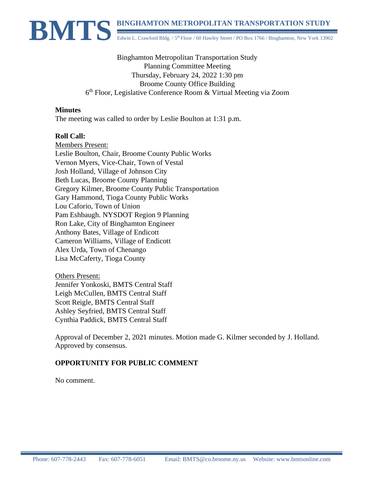

Binghamton Metropolitan Transportation Study Planning Committee Meeting Thursday, February 24, 2022 1:30 pm Broome County Office Building 6<sup>th</sup> Floor, Legislative Conference Room & Virtual Meeting via Zoom

#### **Minutes**

The meeting was called to order by Leslie Boulton at 1:31 p.m.

#### **Roll Call:**

Members Present: Leslie Boulton, Chair, Broome County Public Works Vernon Myers, Vice-Chair, Town of Vestal Josh Holland, Village of Johnson City Beth Lucas, Broome County Planning Gregory Kilmer, Broome County Public Transportation Gary Hammond, Tioga County Public Works Lou Caforio, Town of Union Pam Eshbaugh. NYSDOT Region 9 Planning Ron Lake, City of Binghamton Engineer Anthony Bates, Village of Endicott Cameron Williams, Village of Endicott Alex Urda, Town of Chenango Lisa McCaferty, Tioga County

Others Present: Jennifer Yonkoski, BMTS Central Staff Leigh McCullen, BMTS Central Staff Scott Reigle, BMTS Central Staff Ashley Seyfried, BMTS Central Staff Cynthia Paddick, BMTS Central Staff

Approval of December 2, 2021 minutes. Motion made G. Kilmer seconded by J. Holland. Approved by consensus.

## **OPPORTUNITY FOR PUBLIC COMMENT**

No comment.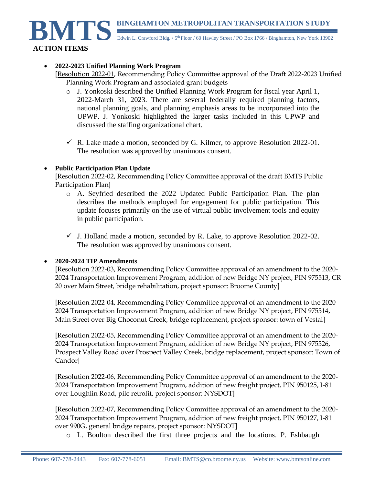**BINGHAMTON METROPOLITAN TRANSPORTATION STUDY** 



Edwin L. Crawford Bldg. / 5<sup>th</sup> Floor / 60 Hawley Street / PO Box 1766 / Binghamton, New York 13902

### • **2022-2023 Unified Planning Work Program**

- [Resolution 2022-01, Recommending Policy Committee approval of the Draft 2022-2023 Unified Planning Work Program and associated grant budgets
	- o J. Yonkoski described the Unified Planning Work Program for fiscal year April 1, 2022-March 31, 2023. There are several federally required planning factors, national planning goals, and planning emphasis areas to be incorporated into the UPWP. J. Yonkoski highlighted the larger tasks included in this UPWP and discussed the staffing organizational chart.
	- $\checkmark$  R. Lake made a motion, seconded by G. Kilmer, to approve Resolution 2022-01. The resolution was approved by unanimous consent.

#### • **Public Participation Plan Update**

[Resolution 2022-02, Recommending Policy Committee approval of the draft BMTS Public Participation Plan]

- o A. Seyfried described the 2022 Updated Public Participation Plan. The plan describes the methods employed for engagement for public participation. This update focuses primarily on the use of virtual public involvement tools and equity in public participation.
- $\checkmark$  J. Holland made a motion, seconded by R. Lake, to approve Resolution 2022-02. The resolution was approved by unanimous consent.

#### • **2020-2024 TIP Amendments**

[Resolution 2022-03, Recommending Policy Committee approval of an amendment to the 2020- 2024 Transportation Improvement Program, addition of new Bridge NY project, PIN 975513, CR 20 over Main Street, bridge rehabilitation, project sponsor: Broome County]

[Resolution 2022-04, Recommending Policy Committee approval of an amendment to the 2020- 2024 Transportation Improvement Program, addition of new Bridge NY project, PIN 975514, Main Street over Big Choconut Creek, bridge replacement, project sponsor: town of Vestal]

[Resolution 2022-05, Recommending Policy Committee approval of an amendment to the 2020- 2024 Transportation Improvement Program, addition of new Bridge NY project, PIN 975526, Prospect Valley Road over Prospect Valley Creek, bridge replacement, project sponsor: Town of Candor]

[Resolution 2022-06, Recommending Policy Committee approval of an amendment to the 2020- 2024 Transportation Improvement Program, addition of new freight project, PIN 950125, I-81 over Loughlin Road, pile retrofit, project sponsor: NYSDOT]

[Resolution 2022-07, Recommending Policy Committee approval of an amendment to the 2020- 2024 Transportation Improvement Program, addition of new freight project, PIN 950127, I-81 over 990G, general bridge repairs, project sponsor: NYSDOT]

o L. Boulton described the first three projects and the locations. P. Eshbaugh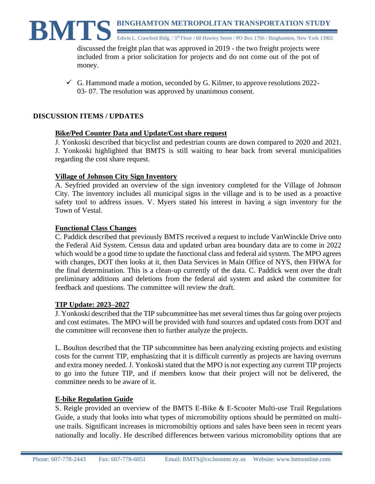discussed the freight plan that was approved in 2019 - the two freight projects were included from a prior solicitation for projects and do not come out of the pot of money.

 $\checkmark$  G. Hammond made a motion, seconded by G. Kilmer, to approve resolutions 2022-03- 07. The resolution was approved by unanimous consent.

# **DISCUSSION ITEMS / UPDATES**

# **Bike/Ped Counter Data and Update/Cost share request**

J. Yonkoski described that bicyclist and pedestrian counts are down compared to 2020 and 2021. J. Yonkoski highlighted that BMTS is still waiting to hear back from several municipalities regarding the cost share request.

# **Village of Johnson City Sign Inventory**

A. Seyfried provided an overview of the sign inventory completed for the Village of Johnson City. The inventory includes all municipal signs in the village and is to be used as a proactive safety tool to address issues. V. Myers stated his interest in having a sign inventory for the Town of Vestal.

## **Functional Class Changes**

C. Paddick described that previously BMTS received a request to include VanWinckle Drive onto the Federal Aid System. Census data and updated urban area boundary data are to come in 2022 which would be a good time to update the functional class and federal aid system. The MPO agrees with changes, DOT then looks at it, then Data Services in Main Office of NYS, then FHWA for the final determination. This is a clean-up currently of the data. C. Paddick went over the draft preliminary additions and deletions from the federal aid system and asked the committee for feedback and questions. The committee will review the draft.

# **TIP Update: 2023–2027**

J. Yonkoski described that the TIP subcommittee has met several times thus far going over projects and cost estimates. The MPO will be provided with fund sources and updated costs from DOT and the committee will reconvene then to further analyze the projects.

L. Boulton described that the TIP subcommittee has been analyzing existing projects and existing costs for the current TIP, emphasizing that it is difficult currently as projects are having overruns and extra money needed. J. Yonkoski stated that the MPO is not expecting any current TIP projects to go into the future TIP, and if members know that their project will not be delivered, the committee needs to be aware of it.

## **E-bike Regulation Guide**

S. Reigle provided an overview of the BMTS E-Bike & E-Scooter Multi-use Trail Regulations Guide, a study that looks into what types of micromobility options should be permitted on multiuse trails. Significant increases in micromobiltiy options and sales have been seen in recent years nationally and locally. He described differences between various micromobility options that are